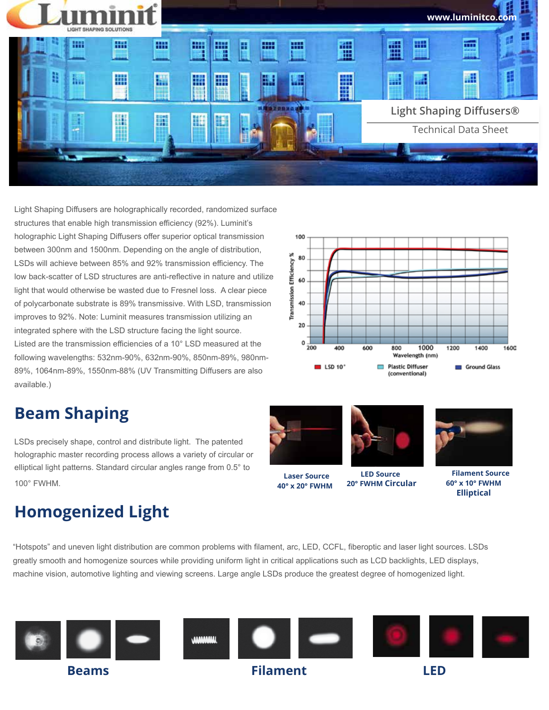

Light Shaping Diffusers are holographically recorded, randomized surface structures that enable high transmission efficiency (92%). Luminit's holographic Light Shaping Diffusers offer superior optical transmission between 300nm and 1500nm. Depending on the angle of distribution, LSDs will achieve between 85% and 92% transmission efficiency. The low back-scatter of LSD structures are anti-reflective in nature and utilize light that would otherwise be wasted due to Fresnel loss. A clear piece of polycarbonate substrate is 89% transmissive. With LSD, transmission improves to 92%. Note: Luminit measures transmission utilizing an integrated sphere with the LSD structure facing the light source. Listed are the transmission efficiencies of a 10° LSD measured at the following wavelengths: 532nm-90%, 632nm-90%, 850nm-89%, 980nm-89%, 1064nm-89%, 1550nm-88% (UV Transmitting Diffusers are also available.)

## **Beam Shaping**

LSDs precisely shape, control and distribute light. The patented holographic master recording process allows a variety of circular or elliptical light patterns. Standard circular angles range from 0.5° to 100° FWHM. **Laser Source**

## **Homogenized Light**

"Hotspots" and uneven light distribution are common problems with filament, arc, LED, CCFL, fiberoptic and laser light sources. LSDs greatly smooth and homogenize sources while providing uniform light in critical applications such as LCD backlights, LED displays, machine vision, automotive lighting and viewing screens. Large angle LSDs produce the greatest degree of homogenized light.



100 Transmission Efficiency % 80 60 40  $20$  $0\frac{1}{200}$ 600 1000 1200 1400  $1600$ 400 800 Wavelength (nm)  $B$  LSD 10<sup>\*</sup> Plastic Diffuser Ground Glass (conventional)



 **40° x 20° FWHM**



 **LED Source 20° FWHM Circular**



 **Filament Source 60° x 10° FWHM Elliptical**